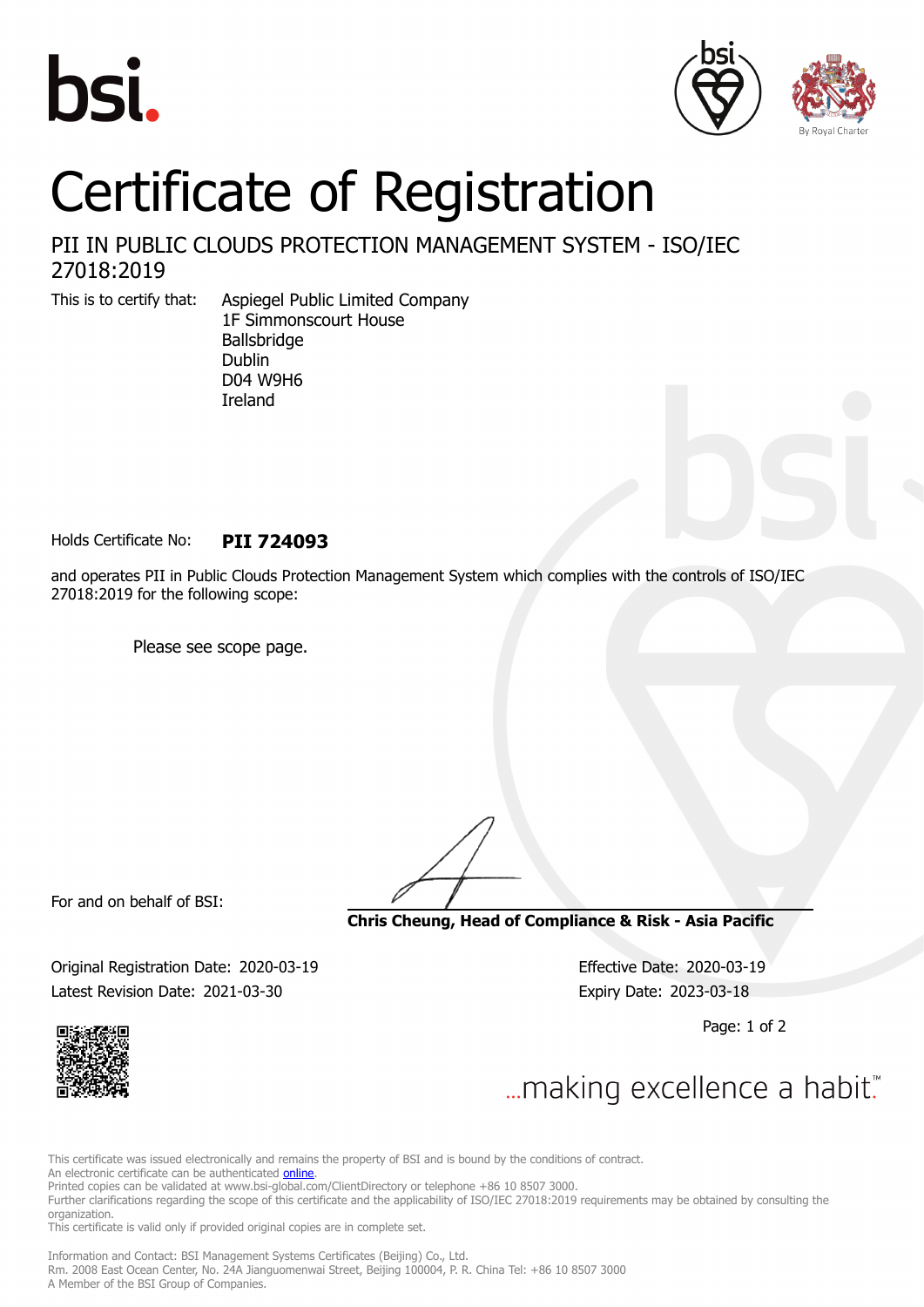





## Certificate of Registration

## PII IN PUBLIC CLOUDS PROTECTION MANAGEMENT SYSTEM - ISO/IEC 27018:2019

This is to certify that: Aspiegel Public Limited Company 1F Simmonscourt House Ballsbridge Dublin D04 W9H6 Ireland

Holds Certificate No: **PII 724093**

and operates PII in Public Clouds Protection Management System which complies with the controls of ISO/IEC 27018:2019 for the following scope:

Please see scope page.

For and on behalf of BSI:

**Chris Cheung, Head of Compliance & Risk - Asia Pacific**

Original Registration Date: 2020-03-19 Effective Date: 2020-03-19 Latest Revision Date: 2021-03-30 Expiry Date: 2023-03-18

Page: 1 of 2



... making excellence a habit."

This certificate was issued electronically and remains the property of BSI and is bound by the conditions of contract.

An electronic certificate can be authenticated **[online](https://pgplus.bsigroup.com/CertificateValidation/CertificateValidator.aspx?CertificateNumber=PII+724093&ReIssueDate=30%2f03%2f2021&Template=cnen)**.

Printed copies can be validated at www.bsi-global.com/ClientDirectory or telephone +86 10 8507 3000.

Further clarifications regarding the scope of this certificate and the applicability of ISO/IEC 27018:2019 requirements may be obtained by consulting the organization.

This certificate is valid only if provided original copies are in complete set.

Information and Contact: BSI Management Systems Certificates (Beijing) Co., Ltd. Rm. 2008 East Ocean Center, No. 24A Jianguomenwai Street, Beijing 100004, P. R. China Tel: +86 10 8507 3000 A Member of the BSI Group of Companies.